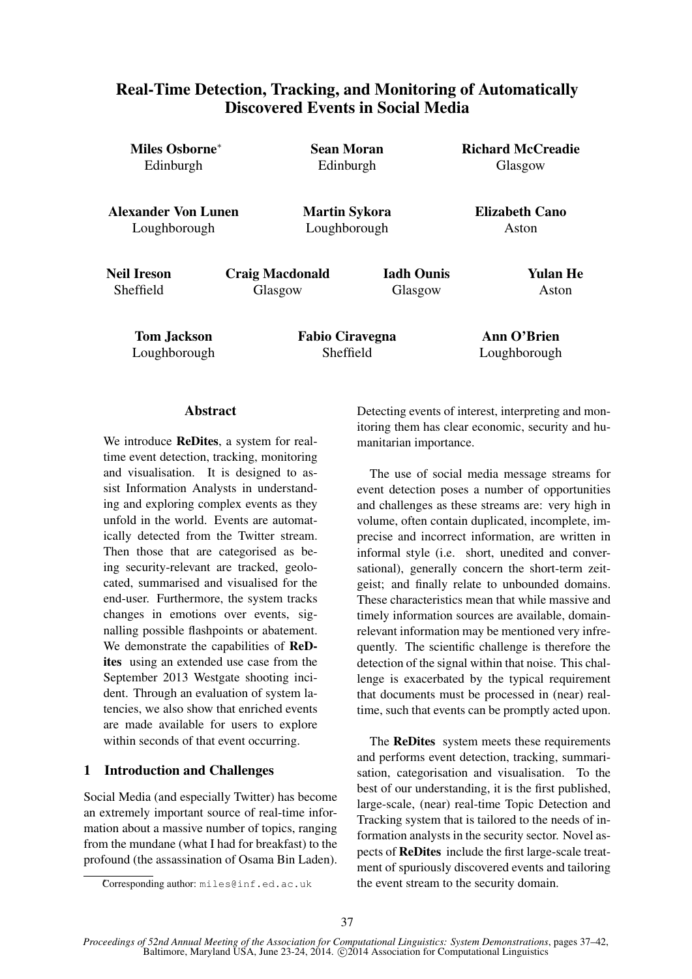# Real-Time Detection, Tracking, and Monitoring of Automatically Discovered Events in Social Media

| Miles Osborne <sup>*</sup> | Sean Moran             |                   | <b>Richard McCreadie</b> |  |
|----------------------------|------------------------|-------------------|--------------------------|--|
| Edinburgh                  | Edinburgh              |                   | Glasgow                  |  |
| <b>Alexander Von Lunen</b> | <b>Martin Sykora</b>   |                   | <b>Elizabeth Cano</b>    |  |
| Loughborough               | Loughborough           |                   | Aston                    |  |
| Neil Ireson                | <b>Craig Macdonald</b> | <b>Iadh Ounis</b> | Yulan He                 |  |
| <b>Sheffield</b>           | Glasgow                | Glasgow           | Aston                    |  |
| <b>Tom Jackson</b>         | <b>Fabio Ciravegna</b> |                   | Ann O'Brien              |  |
| Loughborough               | Sheffield              |                   | Loughborough             |  |

## Abstract

We introduce **ReDites**, a system for realtime event detection, tracking, monitoring and visualisation. It is designed to assist Information Analysts in understanding and exploring complex events as they unfold in the world. Events are automatically detected from the Twitter stream. Then those that are categorised as being security-relevant are tracked, geolocated, summarised and visualised for the end-user. Furthermore, the system tracks changes in emotions over events, signalling possible flashpoints or abatement. We demonstrate the capabilities of **ReD**ites using an extended use case from the September 2013 Westgate shooting incident. Through an evaluation of system latencies, we also show that enriched events are made available for users to explore within seconds of that event occurring.

## 1 Introduction and Challenges

Social Media (and especially Twitter) has become an extremely important source of real-time information about a massive number of topics, ranging from the mundane (what I had for breakfast) to the profound (the assassination of Osama Bin Laden). Detecting events of interest, interpreting and monitoring them has clear economic, security and humanitarian importance.

The use of social media message streams for event detection poses a number of opportunities and challenges as these streams are: very high in volume, often contain duplicated, incomplete, imprecise and incorrect information, are written in informal style (i.e. short, unedited and conversational), generally concern the short-term zeitgeist; and finally relate to unbounded domains. These characteristics mean that while massive and timely information sources are available, domainrelevant information may be mentioned very infrequently. The scientific challenge is therefore the detection of the signal within that noise. This challenge is exacerbated by the typical requirement that documents must be processed in (near) realtime, such that events can be promptly acted upon.

The ReDites system meets these requirements and performs event detection, tracking, summarisation, categorisation and visualisation. To the best of our understanding, it is the first published, large-scale, (near) real-time Topic Detection and Tracking system that is tailored to the needs of information analysts in the security sector. Novel aspects of ReDites include the first large-scale treatment of spuriously discovered events and tailoring the event stream to the security domain.

<sup>∗</sup>Corresponding author: miles@inf.ed.ac.uk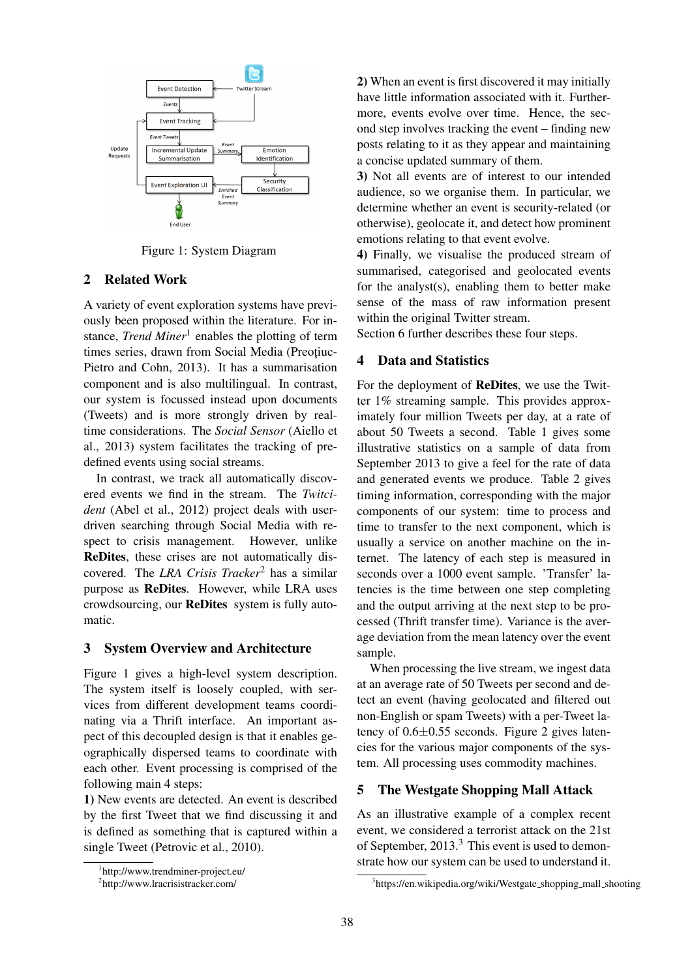

Figure 1: System Diagram

## 2 Related Work

A variety of event exploration systems have previously been proposed within the literature. For instance, *Trend Miner*<sup>1</sup> enables the plotting of term times series, drawn from Social Media (Preotiuc-Pietro and Cohn, 2013). It has a summarisation component and is also multilingual. In contrast, our system is focussed instead upon documents (Tweets) and is more strongly driven by realtime considerations. The *Social Sensor* (Aiello et al., 2013) system facilitates the tracking of predefined events using social streams.

In contrast, we track all automatically discovered events we find in the stream. The *Twitcident* (Abel et al., 2012) project deals with userdriven searching through Social Media with respect to crisis management. However, unlike ReDites, these crises are not automatically discovered. The *LRA Crisis Tracker*<sup>2</sup> has a similar purpose as ReDites. However, while LRA uses crowdsourcing, our ReDites system is fully automatic.

#### 3 System Overview and Architecture

Figure 1 gives a high-level system description. The system itself is loosely coupled, with services from different development teams coordinating via a Thrift interface. An important aspect of this decoupled design is that it enables geographically dispersed teams to coordinate with each other. Event processing is comprised of the following main 4 steps:

1) New events are detected. An event is described by the first Tweet that we find discussing it and is defined as something that is captured within a single Tweet (Petrovic et al., 2010).

2) When an event is first discovered it may initially have little information associated with it. Furthermore, events evolve over time. Hence, the second step involves tracking the event – finding new posts relating to it as they appear and maintaining a concise updated summary of them.

3) Not all events are of interest to our intended audience, so we organise them. In particular, we determine whether an event is security-related (or otherwise), geolocate it, and detect how prominent emotions relating to that event evolve.

4) Finally, we visualise the produced stream of summarised, categorised and geolocated events for the analyst(s), enabling them to better make sense of the mass of raw information present within the original Twitter stream.

Section 6 further describes these four steps.

# 4 Data and Statistics

For the deployment of ReDites, we use the Twitter 1% streaming sample. This provides approximately four million Tweets per day, at a rate of about 50 Tweets a second. Table 1 gives some illustrative statistics on a sample of data from September 2013 to give a feel for the rate of data and generated events we produce. Table 2 gives timing information, corresponding with the major components of our system: time to process and time to transfer to the next component, which is usually a service on another machine on the internet. The latency of each step is measured in seconds over a 1000 event sample. 'Transfer' latencies is the time between one step completing and the output arriving at the next step to be processed (Thrift transfer time). Variance is the average deviation from the mean latency over the event sample.

When processing the live stream, we ingest data at an average rate of 50 Tweets per second and detect an event (having geolocated and filtered out non-English or spam Tweets) with a per-Tweet latency of  $0.6\pm0.55$  seconds. Figure 2 gives latencies for the various major components of the system. All processing uses commodity machines.

## 5 The Westgate Shopping Mall Attack

As an illustrative example of a complex recent event, we considered a terrorist attack on the 21st of September, 2013.<sup>3</sup> This event is used to demonstrate how our system can be used to understand it.

<sup>1</sup> http://www.trendminer-project.eu/

<sup>2</sup> http://www.lracrisistracker.com/

<sup>&</sup>lt;sup>3</sup>https://en.wikipedia.org/wiki/Westgate\_shopping\_mall\_shooting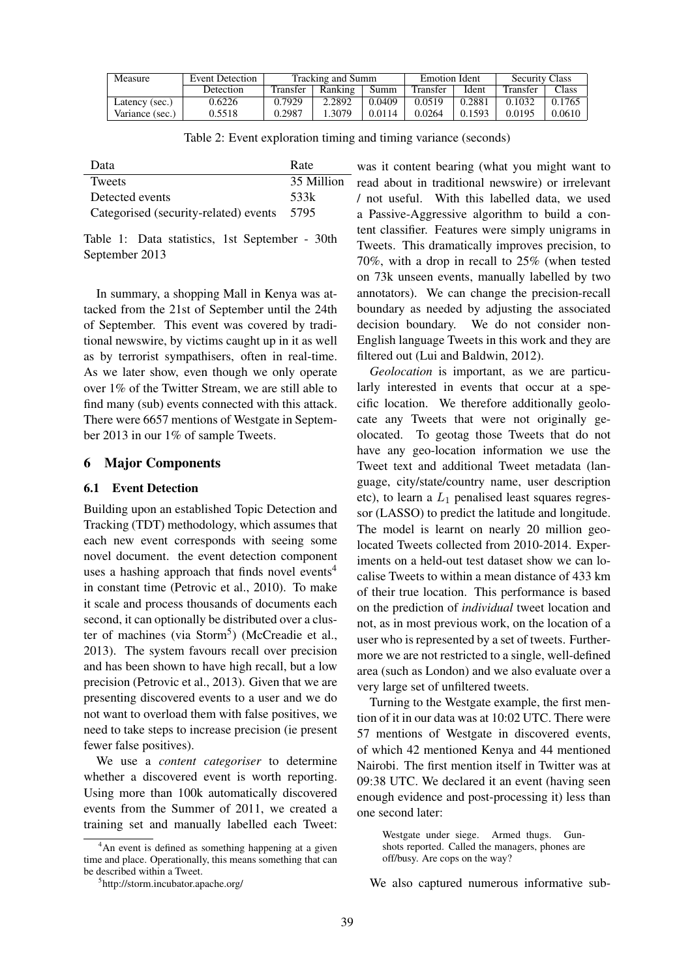| Measure         | Event Detection | Tracking and Summ |         | <b>Emotion Ident</b> |                 | <b>Security Class</b> |          |                |
|-----------------|-----------------|-------------------|---------|----------------------|-----------------|-----------------------|----------|----------------|
|                 | Detection       | Transfer          | Ranking | Summ                 | <b>Transfer</b> | Ident                 | Transfer | $\text{Class}$ |
| Latency (sec.)  | 0.6226          | 0.7929            | 2.2892  | 0.0409               | 0.0519          | 0.2881                | 0.1032   | 0.1765         |
| Variance (sec.) | 0.5518          | 0.2987            | 1.3079  | 0.0114               | 0.0264          | 0.1593                | 0.0195   | 0.0610         |

Table 2: Event exploration timing and timing variance (seconds)

| Data                                  | Rate       |
|---------------------------------------|------------|
| <b>Tweets</b>                         | 35 Million |
| Detected events                       | .533k      |
| Categorised (security-related) events | 5795       |

Table 1: Data statistics, 1st September - 30th September 2013

In summary, a shopping Mall in Kenya was attacked from the 21st of September until the 24th of September. This event was covered by traditional newswire, by victims caught up in it as well as by terrorist sympathisers, often in real-time. As we later show, even though we only operate over 1% of the Twitter Stream, we are still able to find many (sub) events connected with this attack. There were 6657 mentions of Westgate in September 2013 in our 1% of sample Tweets.

## 6 Major Components

#### 6.1 Event Detection

Building upon an established Topic Detection and Tracking (TDT) methodology, which assumes that each new event corresponds with seeing some novel document. the event detection component uses a hashing approach that finds novel events<sup>4</sup> in constant time (Petrovic et al., 2010). To make it scale and process thousands of documents each second, it can optionally be distributed over a cluster of machines (via Storm<sup>5</sup>) (McCreadie et al., 2013). The system favours recall over precision and has been shown to have high recall, but a low precision (Petrovic et al., 2013). Given that we are presenting discovered events to a user and we do not want to overload them with false positives, we need to take steps to increase precision (ie present fewer false positives).

We use a *content categoriser* to determine whether a discovered event is worth reporting. Using more than 100k automatically discovered events from the Summer of 2011, we created a training set and manually labelled each Tweet:

was it content bearing (what you might want to read about in traditional newswire) or irrelevant / not useful. With this labelled data, we used a Passive-Aggressive algorithm to build a content classifier. Features were simply unigrams in Tweets. This dramatically improves precision, to 70%, with a drop in recall to 25% (when tested on 73k unseen events, manually labelled by two annotators). We can change the precision-recall boundary as needed by adjusting the associated decision boundary. We do not consider non-English language Tweets in this work and they are filtered out (Lui and Baldwin, 2012).

*Geolocation* is important, as we are particularly interested in events that occur at a specific location. We therefore additionally geolocate any Tweets that were not originally geolocated. To geotag those Tweets that do not have any geo-location information we use the Tweet text and additional Tweet metadata (language, city/state/country name, user description etc), to learn a  $L_1$  penalised least squares regressor (LASSO) to predict the latitude and longitude. The model is learnt on nearly 20 million geolocated Tweets collected from 2010-2014. Experiments on a held-out test dataset show we can localise Tweets to within a mean distance of 433 km of their true location. This performance is based on the prediction of *individual* tweet location and not, as in most previous work, on the location of a user who is represented by a set of tweets. Furthermore we are not restricted to a single, well-defined area (such as London) and we also evaluate over a very large set of unfiltered tweets.

Turning to the Westgate example, the first mention of it in our data was at 10:02 UTC. There were 57 mentions of Westgate in discovered events, of which 42 mentioned Kenya and 44 mentioned Nairobi. The first mention itself in Twitter was at 09:38 UTC. We declared it an event (having seen enough evidence and post-processing it) less than one second later:

Westgate under siege. Armed thugs. Gunshots reported. Called the managers, phones are off/busy. Are cops on the way?

We also captured numerous informative sub-

<sup>&</sup>lt;sup>4</sup>An event is defined as something happening at a given time and place. Operationally, this means something that can be described within a Tweet.

<sup>5</sup> http://storm.incubator.apache.org/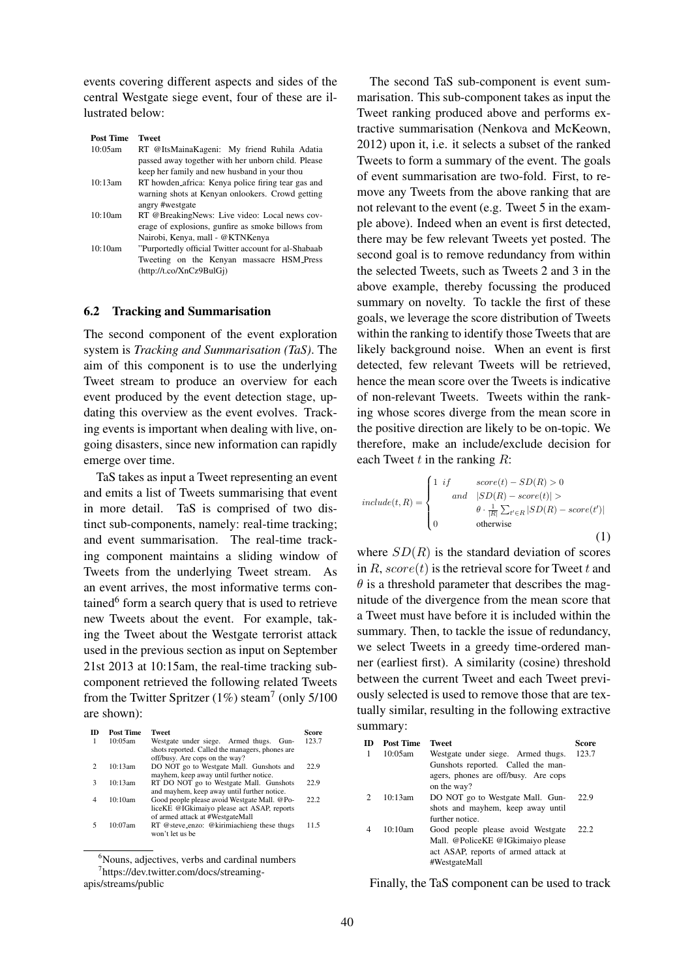events covering different aspects and sides of the central Westgate siege event, four of these are illustrated below:

| <b>Post Time</b> | <b>Tweet</b>                                         |  |  |  |  |  |  |
|------------------|------------------------------------------------------|--|--|--|--|--|--|
| 10:05am          | RT @ItsMainaKageni: My friend Ruhila Adatia          |  |  |  |  |  |  |
|                  | passed away together with her unborn child. Please   |  |  |  |  |  |  |
|                  | keep her family and new husband in your thou         |  |  |  |  |  |  |
| 10:13am          | RT howden africa: Kenya police firing tear gas and   |  |  |  |  |  |  |
|                  | warning shots at Kenyan onlookers. Crowd getting     |  |  |  |  |  |  |
|                  | angry #westgate                                      |  |  |  |  |  |  |
| 10:10am          | RT @BreakingNews: Live video: Local news cov-        |  |  |  |  |  |  |
|                  | erage of explosions, gunfire as smoke billows from   |  |  |  |  |  |  |
|                  | Nairobi, Kenya, mall - @KTNKenya                     |  |  |  |  |  |  |
| 10:10am          | "Purportedly official Twitter account for al-Shabaab |  |  |  |  |  |  |
|                  | Tweeting on the Kenyan massacre HSM_Press            |  |  |  |  |  |  |
|                  | (http://t.co/XnCz9BulGi)                             |  |  |  |  |  |  |

#### 6.2 Tracking and Summarisation

The second component of the event exploration system is *Tracking and Summarisation (TaS)*. The aim of this component is to use the underlying Tweet stream to produce an overview for each event produced by the event detection stage, updating this overview as the event evolves. Tracking events is important when dealing with live, ongoing disasters, since new information can rapidly emerge over time.

TaS takes as input a Tweet representing an event and emits a list of Tweets summarising that event in more detail. TaS is comprised of two distinct sub-components, namely: real-time tracking; and event summarisation. The real-time tracking component maintains a sliding window of Tweets from the underlying Tweet stream. As an event arrives, the most informative terms contained<sup>6</sup> form a search query that is used to retrieve new Tweets about the event. For example, taking the Tweet about the Westgate terrorist attack used in the previous section as input on September 21st 2013 at 10:15am, the real-time tracking subcomponent retrieved the following related Tweets from the Twitter Spritzer  $(1\%)$  steam<sup>7</sup> (only 5/100) are shown):

| ID            | <b>Post Time</b> | <b>Tweet</b>                                                                                                                    | Score |
|---------------|------------------|---------------------------------------------------------------------------------------------------------------------------------|-------|
|               | 10:05am          | Westgate under siege. Armed thugs.<br>Gun-<br>shots reported. Called the managers, phones are<br>off/busy. Are cops on the way? | 123.7 |
| $\mathcal{D}$ | 10:13am          | DO NOT go to Westgate Mall. Gunshots and<br>mayhem, keep away until further notice.                                             | 22.9  |
| 3             | 10:13am          | RT DO NOT go to Westgate Mall. Gunshots<br>and mayhem, keep away until further notice.                                          | 22.9  |
| 4             | 10:10am          | Good people please avoid Westgate Mall. @Po-<br>liceKE @IGkimaiyo please act ASAP, reports<br>of armed attack at #WestgateMall  | 22.2  |
|               | 10:07am          | RT @steve_enzo: @kirimiachieng these thugs<br>won't let us be                                                                   | 11.5  |

<sup>&</sup>lt;sup>6</sup>Nouns, adjectives, verbs and cardinal numbers 7 https://dev.twitter.com/docs/streamingapis/streams/public

The second TaS sub-component is event summarisation. This sub-component takes as input the Tweet ranking produced above and performs extractive summarisation (Nenkova and McKeown, 2012) upon it, i.e. it selects a subset of the ranked Tweets to form a summary of the event. The goals of event summarisation are two-fold. First, to remove any Tweets from the above ranking that are not relevant to the event (e.g. Tweet 5 in the example above). Indeed when an event is first detected, there may be few relevant Tweets yet posted. The second goal is to remove redundancy from within the selected Tweets, such as Tweets 2 and 3 in the above example, thereby focussing the produced summary on novelty. To tackle the first of these goals, we leverage the score distribution of Tweets within the ranking to identify those Tweets that are likely background noise. When an event is first detected, few relevant Tweets will be retrieved, hence the mean score over the Tweets is indicative of non-relevant Tweets. Tweets within the ranking whose scores diverge from the mean score in the positive direction are likely to be on-topic. We therefore, make an include/exclude decision for each Tweet  $t$  in the ranking  $R$ :

$$
include(t, R) = \begin{cases} 1 & if & score(t) - SD(R) > 0 \\ and & |SD(R) - score(t)| > \\ & \theta \cdot \frac{1}{|R|} \sum_{t' \in R} |SD(R) - score(t')| \\ 0 & otherwise \end{cases}
$$
(1)

where  $SD(R)$  is the standard deviation of scores in  $R$ , score(t) is the retrieval score for Tweet t and  $\theta$  is a threshold parameter that describes the magnitude of the divergence from the mean score that a Tweet must have before it is included within the summary. Then, to tackle the issue of redundancy, we select Tweets in a greedy time-ordered manner (earliest first). A similarity (cosine) threshold between the current Tweet and each Tweet previously selected is used to remove those that are textually similar, resulting in the following extractive summary:

| m<br>1        | <b>Post Time</b><br>10:05am | <b>Tweet</b><br>Westgate under siege. Armed thugs.<br>Gunshots reported. Called the man-<br>agers, phones are off/busy. Are cops<br>on the way? | Score<br>123.7 |
|---------------|-----------------------------|-------------------------------------------------------------------------------------------------------------------------------------------------|----------------|
| $\mathcal{L}$ | 10:13am                     | DO NOT go to Westgate Mall. Gun-<br>shots and mayhem, keep away until<br>further notice                                                         | 22.9           |
| 4             | 10:10am                     | Good people please avoid Westgate<br>Mall. @PoliceKE @IGkimaiyo please<br>act ASAP, reports of armed attack at<br>#WestgateMall                 | 22.2           |

Finally, the TaS component can be used to track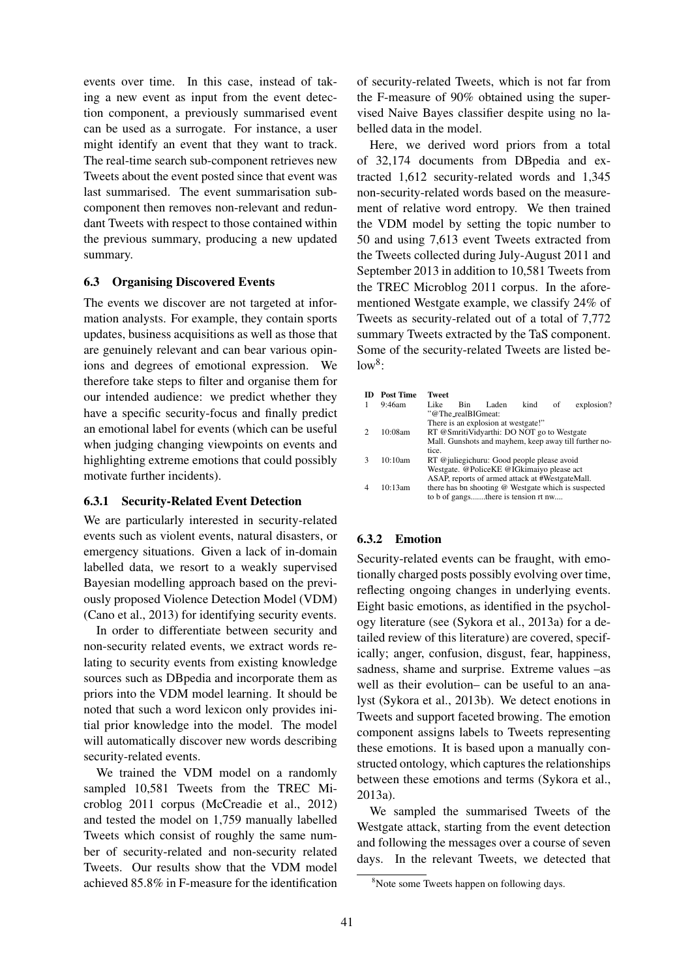events over time. In this case, instead of taking a new event as input from the event detection component, a previously summarised event can be used as a surrogate. For instance, a user might identify an event that they want to track. The real-time search sub-component retrieves new Tweets about the event posted since that event was last summarised. The event summarisation subcomponent then removes non-relevant and redundant Tweets with respect to those contained within the previous summary, producing a new updated summary.

#### 6.3 Organising Discovered Events

The events we discover are not targeted at information analysts. For example, they contain sports updates, business acquisitions as well as those that are genuinely relevant and can bear various opinions and degrees of emotional expression. We therefore take steps to filter and organise them for our intended audience: we predict whether they have a specific security-focus and finally predict an emotional label for events (which can be useful when judging changing viewpoints on events and highlighting extreme emotions that could possibly motivate further incidents).

#### 6.3.1 Security-Related Event Detection

We are particularly interested in security-related events such as violent events, natural disasters, or emergency situations. Given a lack of in-domain labelled data, we resort to a weakly supervised Bayesian modelling approach based on the previously proposed Violence Detection Model (VDM) (Cano et al., 2013) for identifying security events.

In order to differentiate between security and non-security related events, we extract words relating to security events from existing knowledge sources such as DBpedia and incorporate them as priors into the VDM model learning. It should be noted that such a word lexicon only provides initial prior knowledge into the model. The model will automatically discover new words describing security-related events.

We trained the VDM model on a randomly sampled 10,581 Tweets from the TREC Microblog 2011 corpus (McCreadie et al., 2012) and tested the model on 1,759 manually labelled Tweets which consist of roughly the same number of security-related and non-security related Tweets. Our results show that the VDM model achieved 85.8% in F-measure for the identification

of security-related Tweets, which is not far from the F-measure of 90% obtained using the supervised Naive Bayes classifier despite using no labelled data in the model.

Here, we derived word priors from a total of 32,174 documents from DBpedia and extracted 1,612 security-related words and 1,345 non-security-related words based on the measurement of relative word entropy. We then trained the VDM model by setting the topic number to 50 and using 7,613 event Tweets extracted from the Tweets collected during July-August 2011 and September 2013 in addition to 10,581 Tweets from the TREC Microblog 2011 corpus. In the aforementioned Westgate example, we classify 24% of Tweets as security-related out of a total of 7,772 summary Tweets extracted by the TaS component. Some of the security-related Tweets are listed be $low^8$ :

| m | Post Time | <b>Tweet</b>                                          |                    |                                                 |      |    |            |
|---|-----------|-------------------------------------------------------|--------------------|-------------------------------------------------|------|----|------------|
|   | $9:46$ am | Like                                                  | <b>Bin</b>         | Laden                                           | kind | of | explosion? |
|   |           |                                                       | "@The_realBIGmeat: |                                                 |      |    |            |
|   |           |                                                       |                    | There is an explosion at westgate!"             |      |    |            |
|   | 10:08am   | RT @SmritiVidyarthi: DO NOT go to Westgate            |                    |                                                 |      |    |            |
|   |           | Mall. Gunshots and mayhem, keep away till further no- |                    |                                                 |      |    |            |
|   |           | tice.                                                 |                    |                                                 |      |    |            |
|   | 10:10am   | RT @juliegichuru: Good people please avoid            |                    |                                                 |      |    |            |
|   |           | Westgate. @PoliceKE @IGkimaiyo please act             |                    |                                                 |      |    |            |
|   |           |                                                       |                    | ASAP, reports of armed attack at #WestgateMall. |      |    |            |
|   | 10:13am   | there has bn shooting @ Westgate which is suspected   |                    |                                                 |      |    |            |
|   |           |                                                       |                    | to b of gangsthere is tension rt nw             |      |    |            |

### 6.3.2 Emotion

Security-related events can be fraught, with emotionally charged posts possibly evolving over time, reflecting ongoing changes in underlying events. Eight basic emotions, as identified in the psychology literature (see (Sykora et al., 2013a) for a detailed review of this literature) are covered, specifically; anger, confusion, disgust, fear, happiness, sadness, shame and surprise. Extreme values –as well as their evolution– can be useful to an analyst (Sykora et al., 2013b). We detect enotions in Tweets and support faceted browing. The emotion component assigns labels to Tweets representing these emotions. It is based upon a manually constructed ontology, which captures the relationships between these emotions and terms (Sykora et al., 2013a).

We sampled the summarised Tweets of the Westgate attack, starting from the event detection and following the messages over a course of seven days. In the relevant Tweets, we detected that

<sup>&</sup>lt;sup>8</sup>Note some Tweets happen on following days.